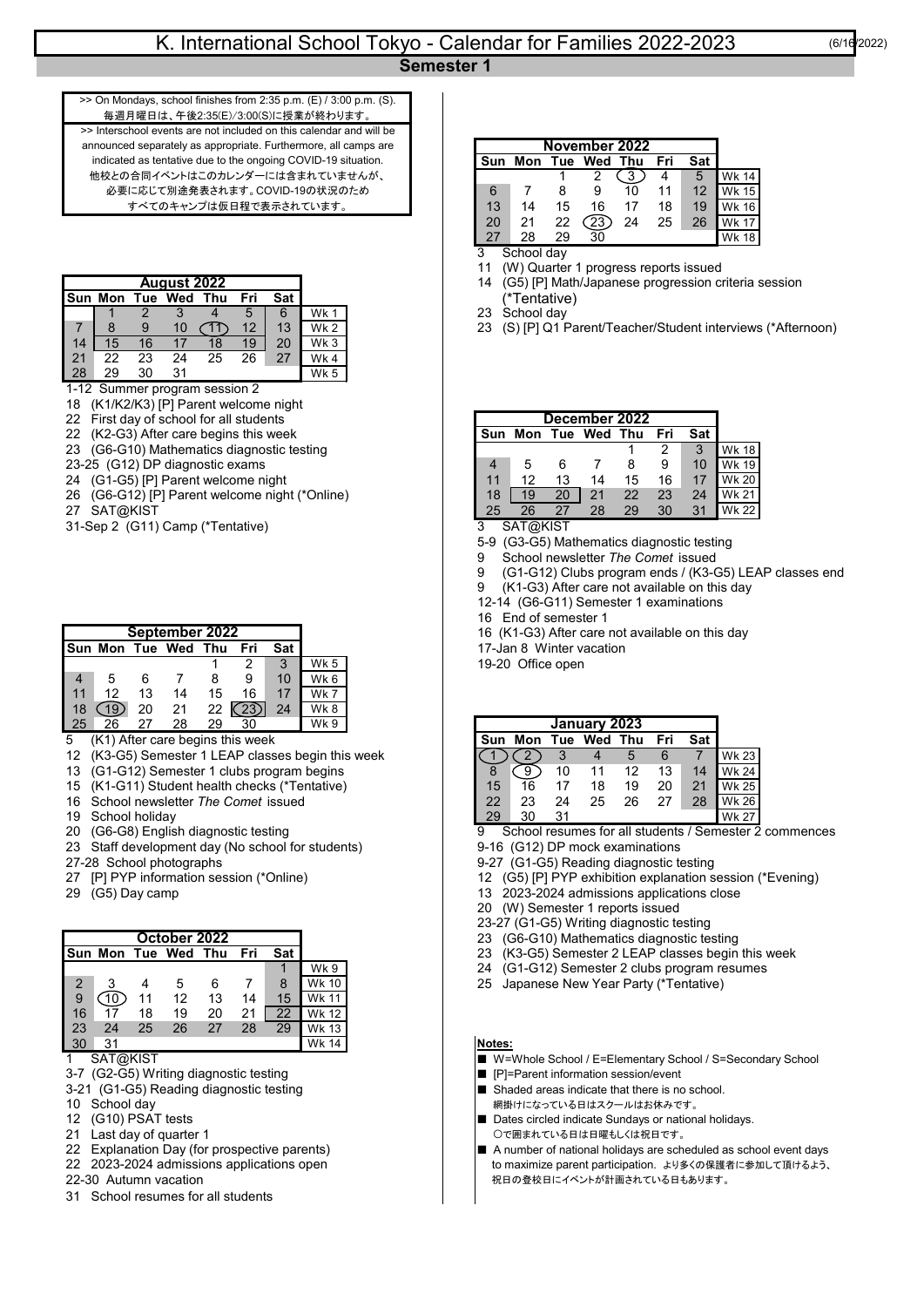毎週月曜日は、午後2:35(E)/3:00(S)に授業が終わります。 >> On Mondays, school finishes from 2:35 p.m. (E) / 3:00 p.m. (S). Interschool events are not included on this calendar and will be announced separately as appropriate. Furthermore, all camps are indicated as tentative due to the ongoing COVID-19 situation. 他校との合同イベントはこのカレンダーには含まれていませんが、 必要に応じて別途発表されます。COVID-19の状況のため すべてのキャンプは仮日程で表示されています

|    |                |     | August 2022 |                                    |     |     |             |  |  | 14            |               |
|----|----------------|-----|-------------|------------------------------------|-----|-----|-------------|--|--|---------------|---------------|
|    | <b>Sun Mon</b> | Tue | Wed Thu     |                                    | Fri | Sat |             |  |  |               |               |
|    |                |     |             |                                    |     | 6   | Wk 1        |  |  | 23 School day |               |
|    |                |     | 10          |                                    |     | 13  | <b>Wk 2</b> |  |  | 23            | (S) [P] Q1 Pa |
|    | 15             | 16  |             | 18                                 | 19  | 20  | Wk 3        |  |  |               |               |
| 21 | 22             | 23  | 24          | 25                                 | 26  | 27  | Wk 4        |  |  |               |               |
| 28 | 29             | 30  | 31          |                                    |     |     | Wk 5        |  |  |               |               |
|    |                |     |             | $1.12$ Cummar program accorded $2$ |     |     |             |  |  |               |               |

- 1-12 Summer program session 2
- 18 (K1/K2/K3) [P] Parent welcome night
- 22 First day of school for all students
- 22 (K2-G3) After care begins this week
- 23 (G6-G10) Mathematics diagnostic testing
- 23-25 (G12) DP diagnostic exams
- 24 (G1-G5) [P] Parent welcome night
- 26 (G6-G12) [P] Parent welcome night (\*Online)
- 27 SAT@KIST
- 31-Sep 2 (G11) Camp (\*Tentative) 3 SAT@KIST

| <b>I</b> Sun Mon Tue Wed Thu |    |    |    |    |                  |    |                 |
|------------------------------|----|----|----|----|------------------|----|-----------------|
|                              |    |    |    |    | 2                | 3  | Wk <sub>5</sub> |
|                              | 5  | 6  |    | 8  | 9                | 10 | Wk <sub>6</sub> |
| 11                           | 12 | 13 | 14 | 15 | 16               | 17 | Wk 7            |
| 18                           | 9  | 20 | 21 | 22 | $\mathcal{D}3$ . | 24 | Wk8             |
| 25                           | 26 | 27 | 28 | 29 | 30               |    | Wk 9            |

- $5$  (K1) After care begins this week
- 12 (K3-G5) Semester 1 LEAP classes begin this week
- 13 (G1-G12) Semester 1 clubs program begins
- 15 (K1-G11) Student health checks (\*Tentative)
- 16 School newsletter *The Comet* issued
- 
- 19 School holiday<br>20 (G6-G8) English diagnostic testing
- 23 Staff development day (No school for students)
- 
- 
- 

|                         |                 |    |                     |    |     |     |              |  |  | 20-21        |
|-------------------------|-----------------|----|---------------------|----|-----|-----|--------------|--|--|--------------|
|                         |                 |    | October 2022        |    |     |     |              |  |  | ((<br>23     |
|                         |                 |    | Sun Mon Tue Wed Thu |    | Fri | Sat |              |  |  | 23<br>(ŀ     |
|                         |                 |    |                     |    |     |     | Wk9          |  |  | 24           |
| 2                       |                 |    | 5                   | 6  |     | 8   | <b>Wk 10</b> |  |  | 25<br>ئل     |
| 9                       |                 |    | 12                  | 13 | 14  | 15  | <b>Wk 11</b> |  |  |              |
| l 16                    |                 | 18 | 19                  | 20 | 21  | 22  | <b>Wk 12</b> |  |  |              |
| 23                      | 24              | 25 | 26                  | 27 | 28  | 29  | <b>Wk 13</b> |  |  |              |
| l 30                    | 31              |    |                     |    |     |     | <b>Wk 14</b> |  |  | otes:        |
| $\overline{\mathbf{A}}$ | <b>CATAVICT</b> |    |                     |    |     |     |              |  |  | $\mathbf{M}$ |

- 
- 3-7 (G2-G5) Writing diagnostic testing <br>3-21 (G1-G5) Reading diagnostic testing <br> **Shaded areas indicate that there is no school.**
- 3-21 (G1-G5) Reading diagnostic testing<br>10 School day
- 
- 
- 21 Last day of quarter 1 ついて コンプロング コンプロング マングロード こうこう こうこう こうこう こうこう こうしょう こうしょう こうしょう こうしょう
- 
- 
- 
- 31 School resumes for all students

| November 2022 |     |     |         |    |     |     |              |  |  |
|---------------|-----|-----|---------|----|-----|-----|--------------|--|--|
| Sun           | Mon | Tue | Wed Thu |    | Fri | Sat |              |  |  |
|               |     |     |         |    |     | 5   | Wk 14        |  |  |
| 6             |     | 8   | 9       | 10 | 11  | 12  | Wk 15        |  |  |
| 13            | 14  | 15  | 16      | 17 | 18  | 19  | <b>Wk 16</b> |  |  |
| 20            | 21  | 22  | 23      | 24 | 25  | 26  | Wk 17        |  |  |
| 27            | 28  |     | 30      |    |     |     | Wk 18        |  |  |

3 School day

- 11 (W) Quarter 1 progress reports issued
- 14 (G5) [P] Math/Japanese progression criteria session
- 23 School day
- 23 (S) [P] Q1 Parent/Teacher/Student interviews (\*Afternoon)

| December 2022 |    |    |                 |    |     |     |              |  |  |  |
|---------------|----|----|-----------------|----|-----|-----|--------------|--|--|--|
| Sun           |    |    | Mon Tue Wed Thu |    | Fri | Sat |              |  |  |  |
|               |    |    |                 |    | 2   | 3   | <b>Wk 18</b> |  |  |  |
|               | 5  | 6  |                 | 8  | 9   | 10  | Wk 19        |  |  |  |
| 11            | 12 | 13 | 14              | 15 | 16  | 17  | <b>Wk 20</b> |  |  |  |
| 18            | 19 | 20 | 21              | 22 | 23  | 24  | <b>Wk 21</b> |  |  |  |
| 25            | 26 | 27 | 28              | 29 | 30  | 31  | Wk 22        |  |  |  |

- 5-9 (G3-G5) Mathematics diagnostic testing
- 9 School newsletter *The Comet* issued
- 9 (G1-G12) Clubs program ends / (K3-G5) LEAP classes end
- 9 (K1-G3) After care not available on this day
- 12-14 (G6-G11) Semester 1 examinations
- 16 End of semester 1
- 16 (K1-G3) After care not available on this day
- **Sun Mon Tue Wed Thu Fri Sat** 17-Jan 8 Winter vacation
- 19-20 Office open

| January 2023 |     |     |         |    |     |     |              |  |  |  |
|--------------|-----|-----|---------|----|-----|-----|--------------|--|--|--|
| Sun          | Mon | Tue | Wed Thu |    | Fri | Sat |              |  |  |  |
|              |     |     |         | 5  | 6   |     | <b>Wk 23</b> |  |  |  |
|              |     | 10  | 11      | 12 | 13  | 14  | Wk 24        |  |  |  |
| 15           | 16  | 17  | 18      | 19 | 20  | 21  | <b>Wk 25</b> |  |  |  |
| 22           | 23  | 24  | 25      | 26 | 27  | 28  | Wk 26        |  |  |  |
| 29           | 30  | 31  |         |    |     |     |              |  |  |  |

20 School resumes for all students / Semester 2 commences 9-16 (G12) DP mock examinations

- 
- 27-28 School photographs 9-27 (G1-G5) Reading diagnostic testing
- 27 [P] PYP information session (\*Online) 12 (G5) [P] PYP exhibition explanation session (\*Evening)
- 29 (G5) Day camp 13 2023-2024 admissions applications close
	- 20 (W) Semester 1 reports issued
	- 23-27 (G1-G5) Writing diagnostic testing
	- 23 (G6-G10) Mathematics diagnostic testing
	- **Sun Mon Tue Wed Thu Fri Sat** 23 (K3-G5) Semester 2 LEAP classes begin this week
	- 24 (G1-G12) Semester 2 clubs program resumes
	- 25 Japanese New Year Party (\*Tentative)

- 1 1 SAT@KIST MEXICLE THE MEXICLE THE MEXICLE THE W=Whole School / E=Elementary School / S=Secondary School
	-
	-
- 10 School day and the state of the state of the state of the state of the state of the state of the state of the state of the state of the state of the state of the state of the state of the state of the state of the st ■ Dates circled indicate Sundays or national holidays.
- 22 Explanation Day (for prospective parents) A number of national holidays are scheduled as school event days<br>22 2023-2024 admissions applications open to maximize parent participation. ょり to maximize parent participation. より多くの保護者に参加して頂けるよう、 22-30 Autumn vacation ねっちゃん インタントリング マンクリック マンクリック おおやま おおやま おおやます。